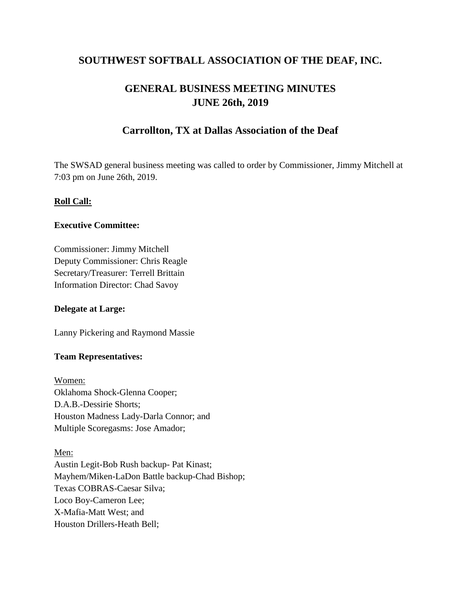# **SOUTHWEST SOFTBALL ASSOCIATION OF THE DEAF, INC.**

# **GENERAL BUSINESS MEETING MINUTES JUNE 26th, 2019**

# **Carrollton, TX at Dallas Association of the Deaf**

The SWSAD general business meeting was called to order by Commissioner, Jimmy Mitchell at 7:03 pm on June 26th, 2019.

#### **Roll Call:**

#### **Executive Committee:**

Commissioner: Jimmy Mitchell Deputy Commissioner: Chris Reagle Secretary/Treasurer: Terrell Brittain Information Director: Chad Savoy

#### **Delegate at Large:**

Lanny Pickering and Raymond Massie

#### **Team Representatives:**

Women: Oklahoma Shock-Glenna Cooper; D.A.B.-Dessirie Shorts; Houston Madness Lady-Darla Connor; and Multiple Scoregasms: Jose Amador;

Men: Austin Legit-Bob Rush backup- Pat Kinast; Mayhem/Miken-LaDon Battle backup-Chad Bishop; Texas COBRAS-Caesar Silva; Loco Boy-Cameron Lee; X-Mafia-Matt West; and Houston Drillers-Heath Bell;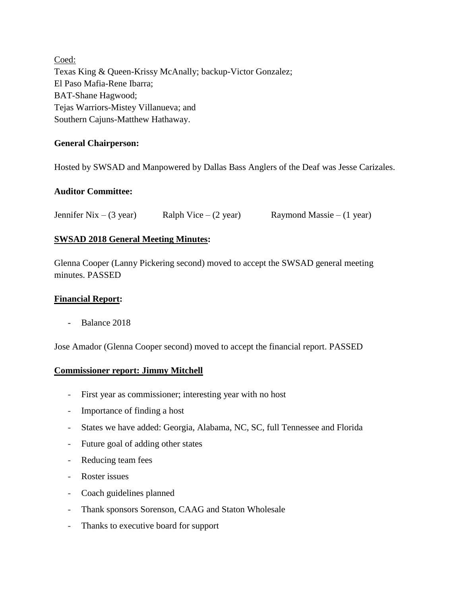Coed: Texas King & Queen-Krissy McAnally; backup-Victor Gonzalez; El Paso Mafia-Rene Ibarra; BAT-Shane Hagwood; Tejas Warriors-Mistey Villanueva; and Southern Cajuns-Matthew Hathaway.

#### **General Chairperson:**

Hosted by SWSAD and Manpowered by Dallas Bass Anglers of the Deaf was Jesse Carizales.

#### **Auditor Committee:**

Jennifer Nix – (3 year) Ralph Vice – (2 year) Raymond Massie – (1 year)

#### **SWSAD 2018 General Meeting Minutes:**

Glenna Cooper (Lanny Pickering second) moved to accept the SWSAD general meeting minutes. PASSED

#### **Financial Report:**

- Balance 2018

Jose Amador (Glenna Cooper second) moved to accept the financial report. PASSED

#### **Commissioner report: Jimmy Mitchell**

- First year as commissioner; interesting year with no host
- Importance of finding a host
- States we have added: Georgia, Alabama, NC, SC, full Tennessee and Florida
- Future goal of adding other states
- Reducing team fees
- Roster issues
- Coach guidelines planned
- Thank sponsors Sorenson, CAAG and Staton Wholesale
- Thanks to executive board for support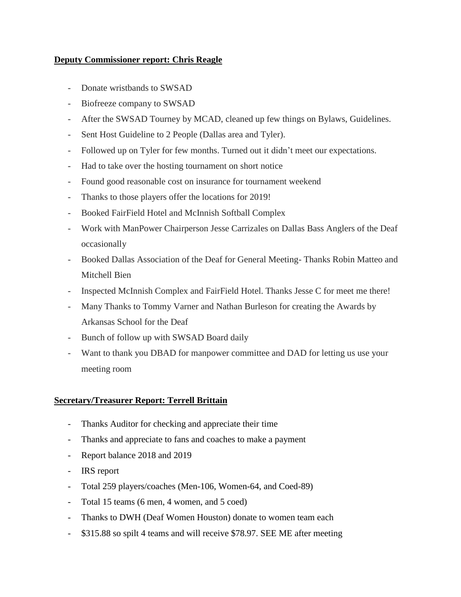#### **Deputy Commissioner report: Chris Reagle**

- Donate wristbands to SWSAD
- Biofreeze company to SWSAD
- After the SWSAD Tourney by MCAD, cleaned up few things on Bylaws, Guidelines.
- Sent Host Guideline to 2 People (Dallas area and Tyler).
- Followed up on Tyler for few months. Turned out it didn't meet our expectations.
- Had to take over the hosting tournament on short notice
- Found good reasonable cost on insurance for tournament weekend
- Thanks to those players offer the locations for 2019!
- Booked FairField Hotel and McInnish Softball Complex
- Work with ManPower Chairperson Jesse Carrizales on Dallas Bass Anglers of the Deaf occasionally
- Booked Dallas Association of the Deaf for General Meeting- Thanks Robin Matteo and Mitchell Bien
- Inspected McInnish Complex and FairField Hotel. Thanks Jesse C for meet me there!
- Many Thanks to Tommy Varner and Nathan Burleson for creating the Awards by Arkansas School for the Deaf
- Bunch of follow up with SWSAD Board daily
- Want to thank you DBAD for manpower committee and DAD for letting us use your meeting room

#### **Secretary/Treasurer Report: Terrell Brittain**

- Thanks Auditor for checking and appreciate their time
- Thanks and appreciate to fans and coaches to make a payment
- Report balance 2018 and 2019
- IRS report
- Total 259 players/coaches (Men-106, Women-64, and Coed-89)
- Total 15 teams (6 men, 4 women, and 5 coed)
- Thanks to DWH (Deaf Women Houston) donate to women team each
- \$315.88 so spilt 4 teams and will receive \$78.97. SEE ME after meeting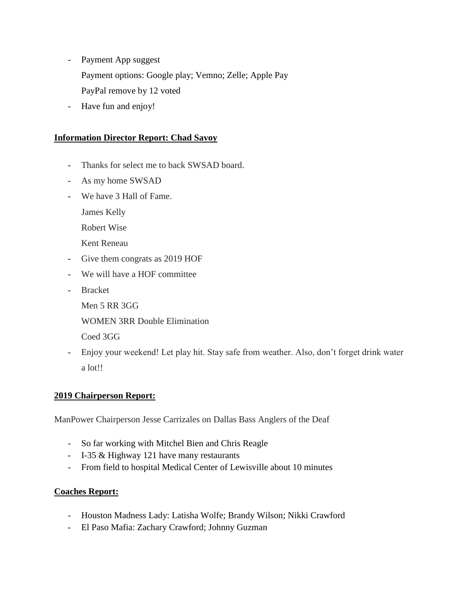- Payment App suggest Payment options: Google play; Vemno; Zelle; Apple Pay PayPal remove by 12 voted
- Have fun and enjoy!

### **Information Director Report: Chad Savoy**

- Thanks for select me to back SWSAD board.
- As my home SWSAD
- We have 3 Hall of Fame.

James Kelly

Robert Wise

Kent Reneau

- Give them congrats as 2019 HOF
- We will have a HOF committee
- Bracket

Men 5 RR 3GG

WOMEN 3RR Double Elimination

Coed 3GG

- Enjoy your weekend! Let play hit. Stay safe from weather. Also, don't forget drink water a lot!!

#### **2019 Chairperson Report:**

ManPower Chairperson Jesse Carrizales on Dallas Bass Anglers of the Deaf

- So far working with Mitchel Bien and Chris Reagle
- I-35 & Highway 121 have many restaurants
- From field to hospital Medical Center of Lewisville about 10 minutes

#### **Coaches Report:**

- Houston Madness Lady: Latisha Wolfe; Brandy Wilson; Nikki Crawford
- El Paso Mafia: Zachary Crawford; Johnny Guzman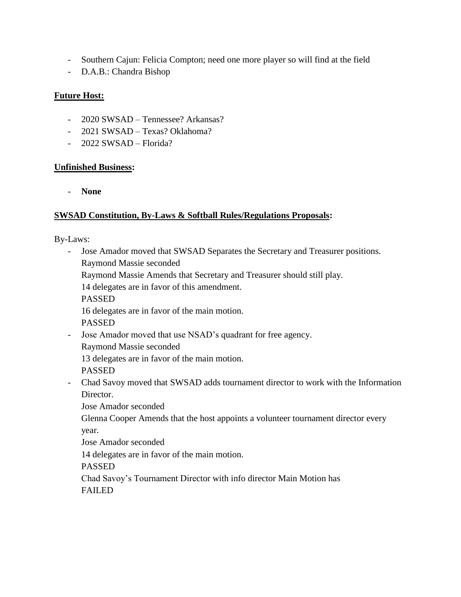- Southern Cajun: Felicia Compton; need one more player so will find at the field
- D.A.B.: Chandra Bishop

## **Future Host:**

- 2020 SWSAD Tennessee? Arkansas?
- 2021 SWSAD Texas? Oklahoma?
- 2022 SWSAD Florida?

#### **Unfinished Business:**

- **None**

## **SWSAD Constitution, By-Laws & Softball Rules/Regulations Proposals:**

By-Laws:

- Jose Amador moved that SWSAD Separates the Secretary and Treasurer positions. Raymond Massie seconded Raymond Massie Amends that Secretary and Treasurer should still play. 14 delegates are in favor of this amendment.
	- PASSED
	- 16 delegates are in favor of the main motion.

PASSED

- Jose Amador moved that use NSAD's quadrant for free agency.
	- Raymond Massie seconded

13 delegates are in favor of the main motion.

PASSED

- Chad Savoy moved that SWSAD adds tournament director to work with the Information Director.

Jose Amador seconded

Glenna Cooper Amends that the host appoints a volunteer tournament director every year.

Jose Amador seconded

14 delegates are in favor of the main motion.

PASSED

Chad Savoy's Tournament Director with info director Main Motion has FAILED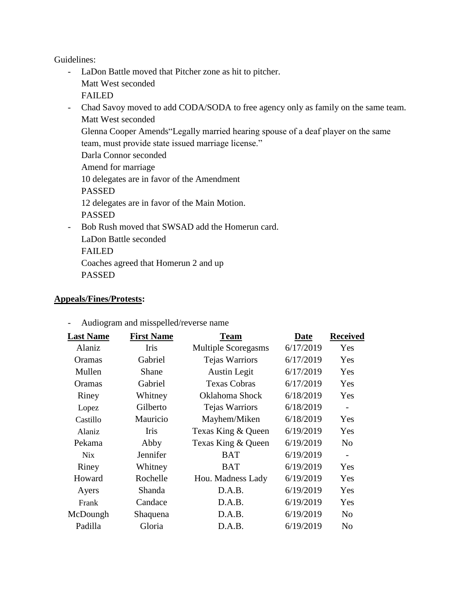Guidelines:

- LaDon Battle moved that Pitcher zone as hit to pitcher. Matt West seconded FAILED
- Chad Savoy moved to add CODA/SODA to free agency only as family on the same team. Matt West seconded
	- Glenna Cooper Amends"Legally married hearing spouse of a deaf player on the same team, must provide state issued marriage license."
	- Darla Connor seconded
	- Amend for marriage
	- 10 delegates are in favor of the Amendment
	- PASSED
	- 12 delegates are in favor of the Main Motion.
	- PASSED
- Bob Rush moved that SWSAD add the Homerun card.
	- LaDon Battle seconded
	- FAILED
	- Coaches agreed that Homerun 2 and up
	- PASSED

### **Appeals/Fines/Protests:**

- **Last Name First Name Team Date Received** Alaniz Iris Multiple Scoregasms 6/17/2019 Yes Oramas Gabriel Tejas Warriors 6/17/2019 Yes Mullen Shane Austin Legit 6/17/2019 Yes Oramas Gabriel Texas Cobras 6/17/2019 Yes Riney Whitney Oklahoma Shock 6/18/2019 Yes Lopez Gilberto Tejas Warriors 6/18/2019 - Castillo Mauricio Mayhem/Miken 6/18/2019 Yes Alaniz Iris Texas King & Queen 6/19/2019 Yes Pekama Abby Texas King & Queen 6/19/2019 No Nix Jennifer BAT 6/19/2019 -Riney Whitney BAT 6/19/2019 Yes Howard Rochelle Hou. Madness Lady 6/19/2019 Yes Ayers Shanda D.A.B. 6/19/2019 Yes Frank Candace D.A.B. 6/19/2019 Yes McDoungh Shaquena D.A.B. 6/19/2019 No Padilla Gloria D.A.B. 6/19/2019 No
- Audiogram and misspelled/reverse name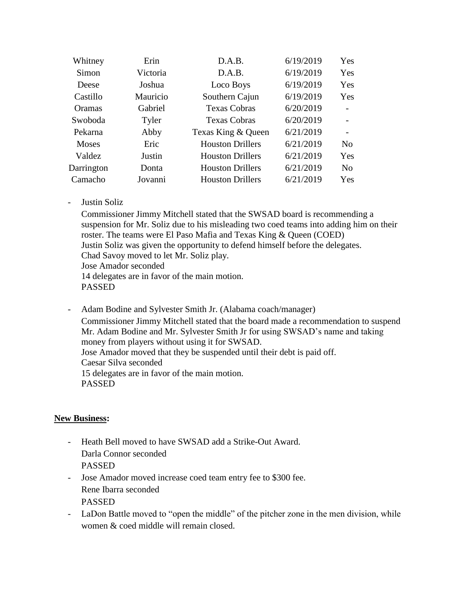| Whitney      | Erin     | D.A.B.                  | 6/19/2019 | Yes        |
|--------------|----------|-------------------------|-----------|------------|
| Simon        | Victoria | D.A.B.                  | 6/19/2019 | Yes        |
| Deese        | Joshua   | Loco Boys               | 6/19/2019 | Yes        |
| Castillo     | Mauricio | Southern Cajun          | 6/19/2019 | <b>Yes</b> |
| Oramas       | Gabriel  | <b>Texas Cobras</b>     | 6/20/2019 |            |
| Swoboda      | Tyler    | <b>Texas Cobras</b>     | 6/20/2019 |            |
| Pekarna      | Abby     | Texas King & Queen      | 6/21/2019 |            |
| <b>Moses</b> | Eric     | <b>Houston Drillers</b> | 6/21/2019 | No.        |
| Valdez       | Justin   | <b>Houston Drillers</b> | 6/21/2019 | Yes        |
| Darrington   | Donta    | <b>Houston Drillers</b> | 6/21/2019 | No         |
| Camacho      | Jovanni  | <b>Houston Drillers</b> | 6/21/2019 | <b>Yes</b> |

- Justin Soliz

Commissioner Jimmy Mitchell stated that the SWSAD board is recommending a suspension for Mr. Soliz due to his misleading two coed teams into adding him on their roster. The teams were El Paso Mafia and Texas King & Queen (COED) Justin Soliz was given the opportunity to defend himself before the delegates. Chad Savoy moved to let Mr. Soliz play. Jose Amador seconded 14 delegates are in favor of the main motion. PASSED

- Adam Bodine and Sylvester Smith Jr. (Alabama coach/manager) Commissioner Jimmy Mitchell stated that the board made a recommendation to suspend Mr. Adam Bodine and Mr. Sylvester Smith Jr for using SWSAD's name and taking money from players without using it for SWSAD. Jose Amador moved that they be suspended until their debt is paid off. Caesar Silva seconded 15 delegates are in favor of the main motion. PASSED

#### **New Business:**

- Heath Bell moved to have SWSAD add a Strike-Out Award. Darla Connor seconded PASSED
- Jose Amador moved increase coed team entry fee to \$300 fee. Rene Ibarra seconded PASSED
- LaDon Battle moved to "open the middle" of the pitcher zone in the men division, while women & coed middle will remain closed.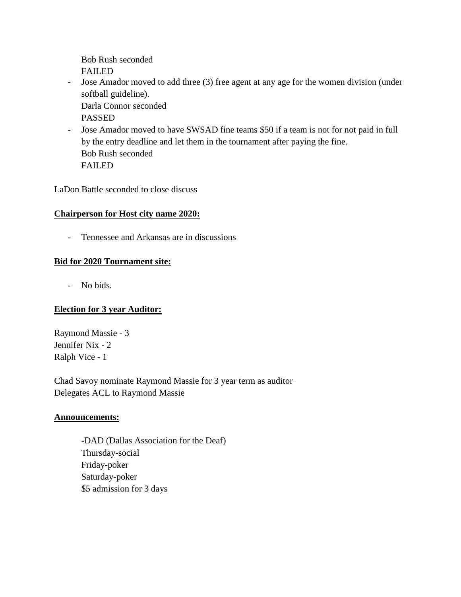Bob Rush seconded FAILED

- Jose Amador moved to add three (3) free agent at any age for the women division (under softball guideline). Darla Connor seconded

PASSED

- Jose Amador moved to have SWSAD fine teams \$50 if a team is not for not paid in full by the entry deadline and let them in the tournament after paying the fine. Bob Rush seconded FAILED

LaDon Battle seconded to close discuss

# **Chairperson for Host city name 2020:**

- Tennessee and Arkansas are in discussions

# **Bid for 2020 Tournament site:**

- No bids.

# **Election for 3 year Auditor:**

Raymond Massie - 3 Jennifer Nix - 2 Ralph Vice - 1

Chad Savoy nominate Raymond Massie for 3 year term as auditor Delegates ACL to Raymond Massie

#### **Announcements:**

**-**DAD (Dallas Association for the Deaf) Thursday-social Friday-poker Saturday-poker \$5 admission for 3 days